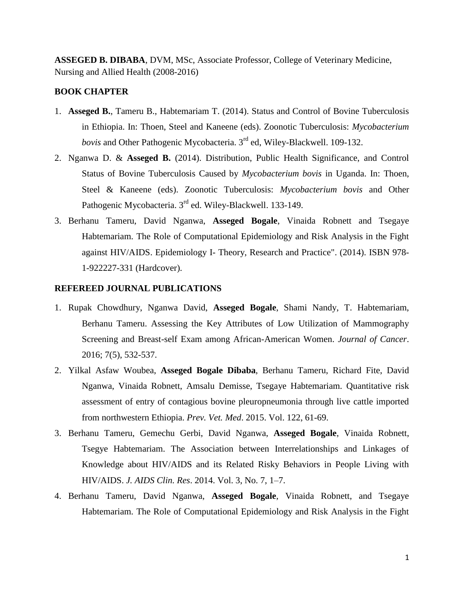**ASSEGED B. DIBABA**, DVM, MSc, Associate Professor, College of Veterinary Medicine, Nursing and Allied Health (2008-2016)

## **BOOK CHAPTER**

- 1. **Asseged B.**, Tameru B., Habtemariam T. (2014). Status and Control of Bovine Tuberculosis in Ethiopia. In: Thoen, Steel and Kaneene (eds). Zoonotic Tuberculosis: *Mycobacterium bovis* and Other Pathogenic Mycobacteria. 3rd ed, Wiley-Blackwell. 109-132.
- 2. Nganwa D. & **Asseged B.** (2014). Distribution, Public Health Significance, and Control Status of Bovine Tuberculosis Caused by *Mycobacterium bovis* in Uganda. In: Thoen, Steel & Kaneene (eds). Zoonotic Tuberculosis: *Mycobacterium bovis* and Other Pathogenic Mycobacteria. 3<sup>rd</sup> ed. Wiley-Blackwell. 133-149.
- 3. Berhanu Tameru, David Nganwa, **Asseged Bogale**, Vinaida Robnett and Tsegaye Habtemariam. The Role of Computational Epidemiology and Risk Analysis in the Fight against HIV/AIDS. Epidemiology I- Theory, Research and Practice". (2014). ISBN 978- 1-922227-331 (Hardcover).

## **REFEREED JOURNAL PUBLICATIONS**

- 1. Rupak Chowdhury, Nganwa David, **Asseged Bogale**, Shami Nandy, T. Habtemariam, Berhanu Tameru. Assessing the Key Attributes of Low Utilization of Mammography Screening and Breast-self Exam among African-American Women. *Journal of Cancer*. 2016; 7(5), 532-537.
- 2. Yilkal Asfaw Woubea, **Asseged Bogale Dibaba**, Berhanu Tameru, Richard Fite, David Nganwa, Vinaida Robnett, Amsalu Demisse, Tsegaye Habtemariam. Quantitative risk assessment of entry of contagious bovine pleuropneumonia through live cattle imported from northwestern Ethiopia. *Prev. Vet. Med*. 2015. Vol. 122, 61-69.
- 3. Berhanu Tameru, Gemechu Gerbi, David Nganwa, **Asseged Bogale**, Vinaida Robnett, Tsegye Habtemariam. The Association between Interrelationships and Linkages of Knowledge about HIV/AIDS and its Related Risky Behaviors in People Living with HIV/AIDS. *J. AIDS Clin. Res*. 2014. Vol. 3, No. 7, 1–7.
- 4. Berhanu Tameru, David Nganwa, **Asseged Bogale**, Vinaida Robnett, and Tsegaye Habtemariam. The Role of Computational Epidemiology and Risk Analysis in the Fight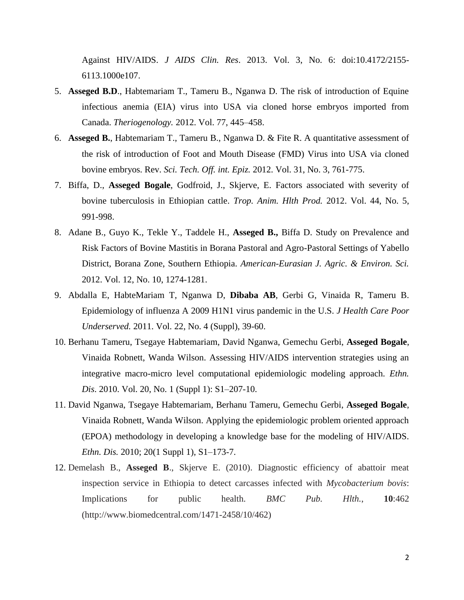Against HIV/AIDS. *J AIDS Clin. Res*. 2013. Vol. 3, No. 6: doi:10.4172/2155- 6113.1000e107.

- 5. **Asseged B.D**., Habtemariam T., Tameru B., Nganwa D. The risk of introduction of Equine infectious anemia (EIA) virus into USA via cloned horse embryos imported from Canada. *Theriogenology.* 2012. Vol. 77, 445–458.
- 6. **Asseged B.**, Habtemariam T., Tameru B., Nganwa D. & Fite R. A quantitative assessment of the risk of introduction of Foot and Mouth Disease (FMD) Virus into USA via cloned bovine embryos. Rev. *Sci. Tech. Off. int. Epiz.* 2012. Vol. 31, No. 3, 761-775.
- 7. [Biffa, D.,](http://www.scopus.com/authid/detail.url?authorId=17134450200&eid=2-s2.0-84860621743) **[Asseged](http://www.scopus.com/authid/detail.url?authorId=55056228000&eid=2-s2.0-84860621743) Bogale**, [Godfroid, J.,](http://www.scopus.com/authid/detail.url?authorId=7004846781&eid=2-s2.0-84860621743) [Skjerve, E.](http://www.scopus.com/authid/detail.url?authorId=55055767500&eid=2-s2.0-84860621743) Factors associated with severity of bovine tuberculosis in Ethiopian cattle. *[Trop. Anim. Hlth Prod.](http://www.scopus.com/source/sourceInfo.url?sourceId=18937&origin=recordpage)* 2012. Vol. 44, No. 5, 991-998.
- 8. Adane B., Guyo K., Tekle Y., Taddele H., **Asseged B.,** Biffa D. Study on Prevalence and Risk Factors of Bovine Mastitis in Borana Pastoral and Agro-Pastoral Settings of Yabello District, Borana Zone, Southern Ethiopia. *American-Eurasian J. Agric. & Environ. Sci.* 2012. Vol. 12, No. 10, 1274-1281.
- 9. [Abdalla E,](http://www.ncbi.nlm.nih.gov/pubmed?term=Abdalla%20E%5BAuthor%5D&cauthor=true&cauthor_uid=22102305) [HabteMariam T,](http://www.ncbi.nlm.nih.gov/pubmed?term=HabteMariam%20T%5BAuthor%5D&cauthor=true&cauthor_uid=22102305) [Nganwa D,](http://www.ncbi.nlm.nih.gov/pubmed?term=Nganwa%20D%5BAuthor%5D&cauthor=true&cauthor_uid=22102305) **[Dibaba AB](http://www.ncbi.nlm.nih.gov/pubmed?term=Dibaba%20AB%5BAuthor%5D&cauthor=true&cauthor_uid=22102305)**, [Gerbi G,](http://www.ncbi.nlm.nih.gov/pubmed?term=Gerbi%20G%5BAuthor%5D&cauthor=true&cauthor_uid=22102305) [Vinaida R,](http://www.ncbi.nlm.nih.gov/pubmed?term=Vinaida%20R%5BAuthor%5D&cauthor=true&cauthor_uid=22102305) [Tameru B.](http://www.ncbi.nlm.nih.gov/pubmed?term=Tameru%20B%5BAuthor%5D&cauthor=true&cauthor_uid=22102305) Epidemiology of influenza A 2009 H1N1 virus pandemic in the U.S. *[J Health Care Poor](http://www.ncbi.nlm.nih.gov/pubmed/22102305)  [Underserved.](http://www.ncbi.nlm.nih.gov/pubmed/22102305)* 2011. Vol. 22, No. 4 (Suppl), 39-60.
- 10. Berhanu Tameru, Tsegaye Habtemariam, David Nganwa, Gemechu Gerbi, **Asseged Bogale**, Vinaida Robnett, Wanda Wilson. Assessing HIV/AIDS intervention strategies using an integrative macro-micro level computational epidemiologic modeling approach. *Ethn. Dis*. 2010. Vol. 20, No. 1 (Suppl 1): S1–207-10.
- 11. David Nganwa, Tsegaye Habtemariam, Berhanu Tameru, Gemechu Gerbi, **Asseged Bogale**, Vinaida Robnett, Wanda Wilson. Applying the epidemiologic problem oriented approach (EPOA) methodology in developing a knowledge base for the modeling of HIV/AIDS. *Ethn. Dis.* 2010; 20(1 Suppl 1), S1–173-7.
- 12. Demelash B., **Asseged B**., Skjerve E. (2010). Diagnostic efficiency of abattoir meat inspection service in Ethiopia to detect carcasses infected with *Mycobacterium bovis*: Implications for public health. *BMC Pub. Hlth.*, **10**:462 (http://www.biomedcentral.com/1471-2458/10/462)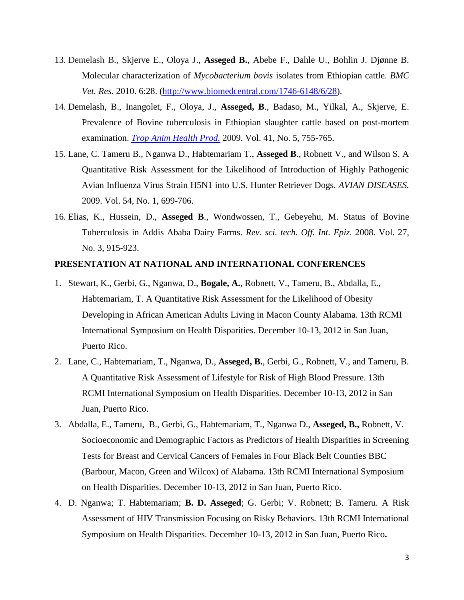- 13. Demelash B., Skjerve E., Oloya J., **Asseged B.**, Abebe F., Dahle U., Bohlin J. Djønne B. Molecular characterization of *Mycobacterium bovis* isolates from Ethiopian cattle. *BMC Vet. Res.* 2010. 6:28. [\(http://www.biomedcentral.com/1746-6148/6/28\)](http://www.biomedcentral.com/1746-6148/6/28).
- 14. Demelash, B., Inangolet, F., Oloya, J., **Asseged, B**., Badaso, M., Yilkal, A., Skjerve, E. Prevalence of Bovine tuberculosis in Ethiopian slaughter cattle based on post-mortem examination. *[Trop Anim Health Prod.](javascript:AL_get(this,%20)* 2009. Vol. 41, No. 5, 755-765.
- 15. Lane, C. Tameru B., Nganwa D., Habtemariam T., **Asseged B**., Robnett V., and Wilson S. A Quantitative Risk Assessment for the Likelihood of Introduction of Highly Pathogenic Avian Influenza Virus Strain H5N1 into U.S. Hunter Retriever Dogs. *AVIAN DISEASES.* 2009. Vol. 54, No. 1, 699-706.
- 16. Elias, K., Hussein, D., **Asseged B**., Wondwossen, T., Gebeyehu, M. Status of Bovine Tuberculosis in Addis Ababa Dairy Farms. *Rev. sci. tech. Off. Int. Epiz.* 2008. Vol. 27, No. 3, 915-923.

## **PRESENTATION AT NATIONAL AND INTERNATIONAL CONFERENCES**

- 1. Stewart, K., Gerbi, G., Nganwa, D., **Bogale, A.**, Robnett, V., Tameru, B., Abdalla, E., Habtemariam, T. A Quantitative Risk Assessment for the Likelihood of Obesity Developing in African American Adults Living in Macon County Alabama. 13th RCMI International Symposium on Health Disparities. December 10-13, 2012 in San Juan, Puerto Rico.
- 2. Lane, C., Habtemariam, T., Nganwa, D., **Asseged, B.**, Gerbi, G., Robnett, V., and Tameru, B. A Quantitative Risk Assessment of Lifestyle for Risk of High Blood Pressure. 13th RCMI International Symposium on Health Disparities. December 10-13, 2012 in San Juan, Puerto Rico.
- 3. Abdalla, E., Tameru, B., Gerbi, G., Habtemariam, T., Nganwa D., **Asseged, B.,** Robnett, V. Socioeconomic and Demographic Factors as Predictors of Health Disparities in Screening Tests for Breast and Cervical Cancers of Females in Four Black Belt Counties BBC (Barbour, Macon, Green and Wilcox) of Alabama. 13th RCMI International Symposium on Health Disparities. December 10-13, 2012 in San Juan, Puerto Rico.
- 4. D. Nganwa; T. Habtemariam; **B. D. Asseged**; G. Gerbi; V. Robnett; B. Tameru. A Risk Assessment of HIV Transmission Focusing on Risky Behaviors. 13th RCMI International Symposium on Health Disparities. December 10-13, 2012 in San Juan, Puerto Rico**.**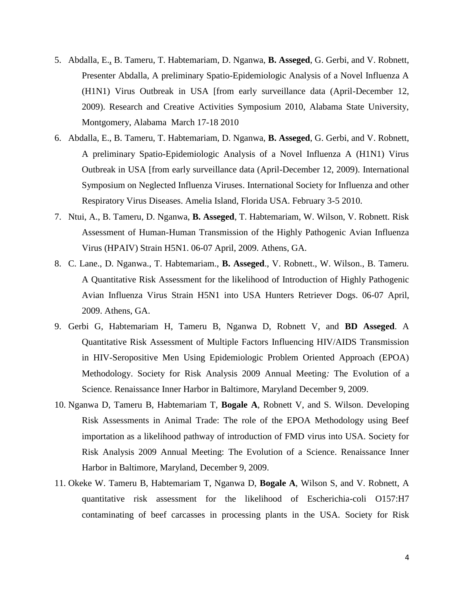- 5. Abdalla, E., B. Tameru, T. Habtemariam, D. Nganwa, **B. Asseged**, G. Gerbi, and V. Robnett, Presenter Abdalla, A preliminary Spatio-Epidemiologic Analysis of a Novel Influenza A (H1N1) Virus Outbreak in USA [from early surveillance data (April-December 12, 2009). Research and Creative Activities Symposium 2010, Alabama State University, Montgomery, Alabama March 17-18 2010
- 6. Abdalla, E., B. Tameru, T. Habtemariam, D. Nganwa, **B. Asseged**, G. Gerbi, and V. Robnett, A preliminary Spatio-Epidemiologic Analysis of a Novel Influenza A (H1N1) Virus Outbreak in USA [from early surveillance data (April-December 12, 2009). International Symposium on Neglected Influenza Viruses. International Society for Influenza and other Respiratory Virus Diseases. Amelia Island, Florida USA. February 3-5 2010.
- 7. Ntui, A., B. Tameru, D. Nganwa, **B. Asseged**, T. Habtemariam, W. Wilson, V. Robnett. Risk Assessment of Human-Human Transmission of the Highly Pathogenic Avian Influenza Virus (HPAIV) Strain H5N1. 06-07 April, 2009. Athens, GA.
- 8. C. Lane., D. Nganwa., T. Habtemariam., **B. Asseged**., V. Robnett., W. Wilson., B. Tameru. A Quantitative Risk Assessment for the likelihood of Introduction of Highly Pathogenic Avian Influenza Virus Strain H5N1 into USA Hunters Retriever Dogs. 06-07 April, 2009. Athens, GA.
- 9. Gerbi G, Habtemariam H, Tameru B, Nganwa D, Robnett V, and **BD Asseged**. A Quantitative Risk Assessment of Multiple Factors Influencing HIV/AIDS Transmission in HIV-Seropositive Men Using Epidemiologic Problem Oriented Approach (EPOA) Methodology. Society for Risk Analysis 2009 Annual Meeting*:* The Evolution of a Science*.* Renaissance Inner Harbor in Baltimore, Maryland December 9, 2009.
- 10. Nganwa D, Tameru B, Habtemariam T, **Bogale A**, Robnett V, and S. Wilson. Developing Risk Assessments in Animal Trade: The role of the EPOA Methodology using Beef importation as a likelihood pathway of introduction of FMD virus into USA. Society for Risk Analysis 2009 Annual Meeting: The Evolution of a Science. Renaissance Inner Harbor in Baltimore, Maryland, December 9, 2009.
- 11. Okeke W. Tameru B, Habtemariam T, Nganwa D, **Bogale A**, Wilson S, and V. Robnett, A quantitative risk assessment for the likelihood of Escherichia-coli O157:H7 contaminating of beef carcasses in processing plants in the USA. Society for Risk